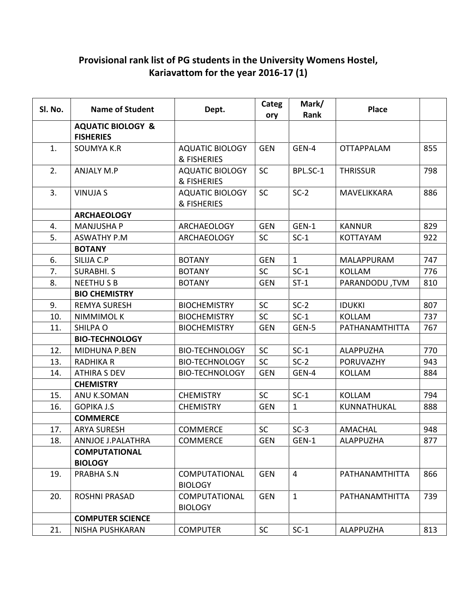## Provisional rank list of PG students in the University Womens Hostel, Kariavattom for the year 2016-17 (1)

| Sl. No. | <b>Name of Student</b>                           | Dept.                                  | Categ<br>ory | Mark/<br>Rank  | <b>Place</b>      |     |
|---------|--------------------------------------------------|----------------------------------------|--------------|----------------|-------------------|-----|
|         | <b>AQUATIC BIOLOGY &amp;</b><br><b>FISHERIES</b> |                                        |              |                |                   |     |
| 1.      | <b>SOUMYA K.R</b>                                | <b>AQUATIC BIOLOGY</b><br>& FISHERIES  | <b>GEN</b>   | GEN-4          | <b>OTTAPPALAM</b> | 855 |
| 2.      | <b>ANJALY M.P</b>                                | <b>AQUATIC BIOLOGY</b><br>& FISHERIES  | <b>SC</b>    | BPL.SC-1       | <b>THRISSUR</b>   | 798 |
| 3.      | <b>VINUJA S</b>                                  | <b>AQUATIC BIOLOGY</b><br>& FISHERIES  | <b>SC</b>    | $SC-2$         | MAVELIKKARA       | 886 |
|         | <b>ARCHAEOLOGY</b>                               |                                        |              |                |                   |     |
| 4.      | <b>MANJUSHA P</b>                                | <b>ARCHAEOLOGY</b>                     | <b>GEN</b>   | GEN-1          | <b>KANNUR</b>     | 829 |
| 5.      | <b>ASWATHY P.M</b>                               | <b>ARCHAEOLOGY</b>                     | <b>SC</b>    | $SC-1$         | <b>KOTTAYAM</b>   | 922 |
|         | <b>BOTANY</b>                                    |                                        |              |                |                   |     |
| 6.      | SILIJA C.P                                       | <b>BOTANY</b>                          | <b>GEN</b>   | $\mathbf{1}$   | <b>MALAPPURAM</b> | 747 |
| 7.      | <b>SURABHI.S</b>                                 | <b>BOTANY</b>                          | <b>SC</b>    | $SC-1$         | <b>KOLLAM</b>     | 776 |
| 8.      | <b>NEETHUSB</b>                                  | <b>BOTANY</b>                          | <b>GEN</b>   | $ST-1$         | PARANDODU, TVM    | 810 |
|         | <b>BIO CHEMISTRY</b>                             |                                        |              |                |                   |     |
| 9.      | <b>REMYA SURESH</b>                              | <b>BIOCHEMISTRY</b>                    | <b>SC</b>    | $SC-2$         | <b>IDUKKI</b>     | 807 |
| 10.     | <b>NIMMIMOLK</b>                                 | <b>BIOCHEMISTRY</b>                    | SC           | $SC-1$         | <b>KOLLAM</b>     | 737 |
| 11.     | SHILPA O                                         | <b>BIOCHEMISTRY</b>                    | <b>GEN</b>   | GEN-5          | PATHANAMTHITTA    | 767 |
|         | <b>BIO-TECHNOLOGY</b>                            |                                        |              |                |                   |     |
| 12.     | MIDHUNA P.BEN                                    | <b>BIO-TECHNOLOGY</b>                  | <b>SC</b>    | $SC-1$         | ALAPPUZHA         | 770 |
| 13.     | <b>RADHIKA R</b>                                 | <b>BIO-TECHNOLOGY</b>                  | SC           | $SC-2$         | <b>PORUVAZHY</b>  | 943 |
| 14.     | ATHIRA S DEV                                     | <b>BIO-TECHNOLOGY</b>                  | <b>GEN</b>   | GEN-4          | <b>KOLLAM</b>     | 884 |
|         | <b>CHEMISTRY</b>                                 |                                        |              |                |                   |     |
| 15.     | ANU K.SOMAN                                      | <b>CHEMISTRY</b>                       | <b>SC</b>    | $SC-1$         | <b>KOLLAM</b>     | 794 |
| 16.     | <b>GOPIKA J.S</b>                                | <b>CHEMISTRY</b>                       | <b>GEN</b>   | 1              | KUNNATHUKAL       | 888 |
|         | <b>COMMERCE</b>                                  |                                        |              |                |                   |     |
| 17.     | <b>ARYA SURESH</b>                               | <b>COMMERCE</b>                        | <b>SC</b>    | $SC-3$         | <b>AMACHAL</b>    | 948 |
| 18.     | <b>ANNJOE J.PALATHRA</b>                         | <b>COMMERCE</b>                        | <b>GEN</b>   | GEN-1          | <b>ALAPPUZHA</b>  | 877 |
|         | <b>COMPUTATIONAL</b><br><b>BIOLOGY</b>           |                                        |              |                |                   |     |
| 19.     | PRABHA S.N                                       | <b>COMPUTATIONAL</b><br><b>BIOLOGY</b> | <b>GEN</b>   | $\overline{4}$ | PATHANAMTHITTA    | 866 |
| 20.     | <b>ROSHNI PRASAD</b>                             | <b>COMPUTATIONAL</b><br><b>BIOLOGY</b> | <b>GEN</b>   | $\mathbf{1}$   | PATHANAMTHITTA    | 739 |
|         | <b>COMPUTER SCIENCE</b>                          |                                        |              |                |                   |     |
| 21.     | NISHA PUSHKARAN                                  | <b>COMPUTER</b>                        | <b>SC</b>    | $SC-1$         | <b>ALAPPUZHA</b>  | 813 |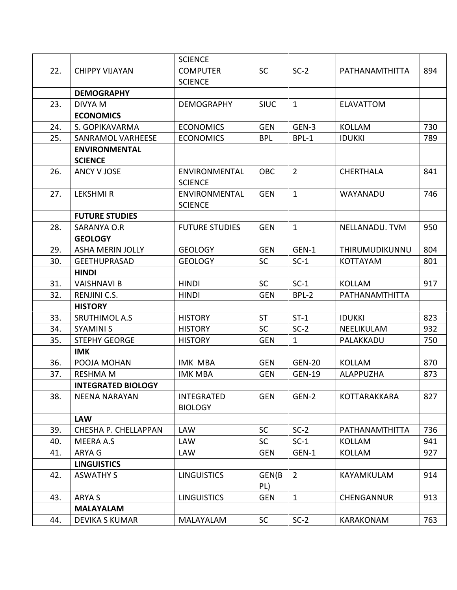|     |                           | <b>SCIENCE</b>        |             |                |                     |     |
|-----|---------------------------|-----------------------|-------------|----------------|---------------------|-----|
| 22. | <b>CHIPPY VIJAYAN</b>     | <b>COMPUTER</b>       | <b>SC</b>   | $SC-2$         | PATHANAMTHITTA      | 894 |
|     |                           | <b>SCIENCE</b>        |             |                |                     |     |
|     | <b>DEMOGRAPHY</b>         |                       |             |                |                     |     |
| 23. | DIVYA M                   | <b>DEMOGRAPHY</b>     | <b>SIUC</b> | $\mathbf{1}$   | <b>ELAVATTOM</b>    |     |
|     | <b>ECONOMICS</b>          |                       |             |                |                     |     |
| 24. | S. GOPIKAVARMA            | <b>ECONOMICS</b>      | <b>GEN</b>  | GEN-3          | <b>KOLLAM</b>       | 730 |
| 25. | SANRAMOL VARHEESE         | <b>ECONOMICS</b>      | <b>BPL</b>  | BPL-1          | <b>IDUKKI</b>       | 789 |
|     | <b>ENVIRONMENTAL</b>      |                       |             |                |                     |     |
|     | <b>SCIENCE</b>            |                       |             |                |                     |     |
| 26. | ANCY V JOSE               | ENVIRONMENTAL         | <b>OBC</b>  | $\overline{2}$ | <b>CHERTHALA</b>    | 841 |
|     |                           | <b>SCIENCE</b>        |             |                |                     |     |
| 27. | <b>LEKSHMIR</b>           | ENVIRONMENTAL         | <b>GEN</b>  | $\mathbf{1}$   | WAYANADU            | 746 |
|     |                           | <b>SCIENCE</b>        |             |                |                     |     |
|     | <b>FUTURE STUDIES</b>     |                       |             |                |                     |     |
| 28. | SARANYA O.R               | <b>FUTURE STUDIES</b> | <b>GEN</b>  | $\mathbf{1}$   | NELLANADU. TVM      | 950 |
|     | <b>GEOLOGY</b>            |                       |             |                |                     |     |
| 29. | <b>ASHA MERIN JOLLY</b>   | <b>GEOLOGY</b>        | <b>GEN</b>  | GEN-1          | THIRUMUDIKUNNU      | 804 |
| 30. | <b>GEETHUPRASAD</b>       | <b>GEOLOGY</b>        | <b>SC</b>   | $SC-1$         | <b>KOTTAYAM</b>     | 801 |
|     | <b>HINDI</b>              |                       |             |                |                     |     |
| 31. | <b>VAISHNAVI B</b>        | <b>HINDI</b>          | <b>SC</b>   | $SC-1$         | <b>KOLLAM</b>       | 917 |
| 32. | <b>RENJINI C.S.</b>       | <b>HINDI</b>          | <b>GEN</b>  | BPL-2          | PATHANAMTHITTA      |     |
|     | <b>HISTORY</b>            |                       |             |                |                     |     |
| 33. | <b>SRUTHIMOL A.S</b>      | <b>HISTORY</b>        | <b>ST</b>   | $ST-1$         | <b>IDUKKI</b>       | 823 |
| 34. | <b>SYAMINI S</b>          | <b>HISTORY</b>        | <b>SC</b>   | $SC-2$         | NEELIKULAM          | 932 |
| 35. | <b>STEPHY GEORGE</b>      | <b>HISTORY</b>        | <b>GEN</b>  | $\mathbf{1}$   | PALAKKADU           | 750 |
|     | <b>IMK</b>                |                       |             |                |                     |     |
| 36. | POOJA MOHAN               | <b>IMK MBA</b>        | <b>GEN</b>  | <b>GEN-20</b>  | <b>KOLLAM</b>       | 870 |
| 37. | <b>RESHMA M</b>           | <b>IMK MBA</b>        | <b>GEN</b>  | <b>GEN-19</b>  | <b>ALAPPUZHA</b>    | 873 |
|     | <b>INTEGRATED BIOLOGY</b> |                       |             |                |                     |     |
| 38. | <b>NEENA NARAYAN</b>      | <b>INTEGRATED</b>     | <b>GEN</b>  | GEN-2          | <b>KOTTARAKKARA</b> | 827 |
|     |                           | <b>BIOLOGY</b>        |             |                |                     |     |
|     | <b>LAW</b>                |                       |             |                |                     |     |
| 39. | CHESHA P. CHELLAPPAN      | <b>LAW</b>            | <b>SC</b>   | $SC-2$         | PATHANAMTHITTA      | 736 |
| 40. | MEERA A.S                 | LAW                   | <b>SC</b>   | $SC-1$         | <b>KOLLAM</b>       | 941 |
| 41. | ARYA G                    | <b>LAW</b>            | <b>GEN</b>  | GEN-1          | <b>KOLLAM</b>       | 927 |
|     | <b>LINGUISTICS</b>        |                       |             |                |                     |     |
| 42. | <b>ASWATHY S</b>          | <b>LINGUISTICS</b>    | GEN(B       | $2^{\circ}$    | KAYAMKULAM          | 914 |
|     |                           |                       | PL)         |                |                     |     |
| 43. | ARYA S                    | <b>LINGUISTICS</b>    | <b>GEN</b>  | $\mathbf{1}$   | <b>CHENGANNUR</b>   | 913 |
|     | <b>MALAYALAM</b>          |                       |             |                |                     |     |
| 44. | <b>DEVIKA S KUMAR</b>     | MALAYALAM             | <b>SC</b>   | $SC-2$         | KARAKONAM           | 763 |